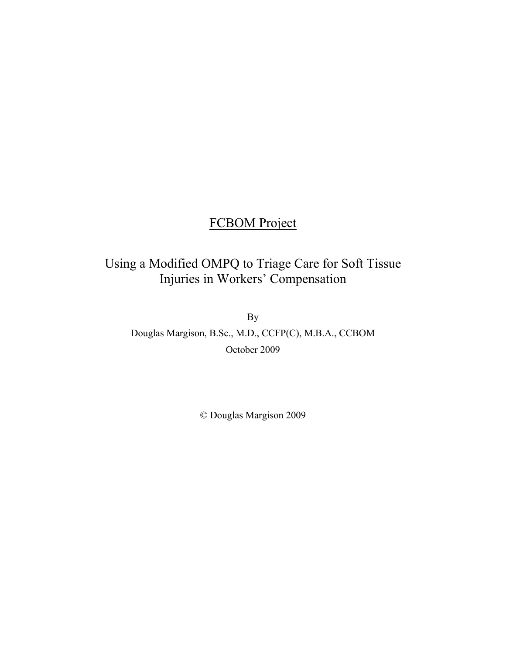# FCBOM Project

# Using a Modified OMPQ to Triage Care for Soft Tissue Injuries in Workers' Compensation

By

Douglas Margison, B.Sc., M.D., CCFP(C), M.B.A., CCBOM October 2009

© Douglas Margison 2009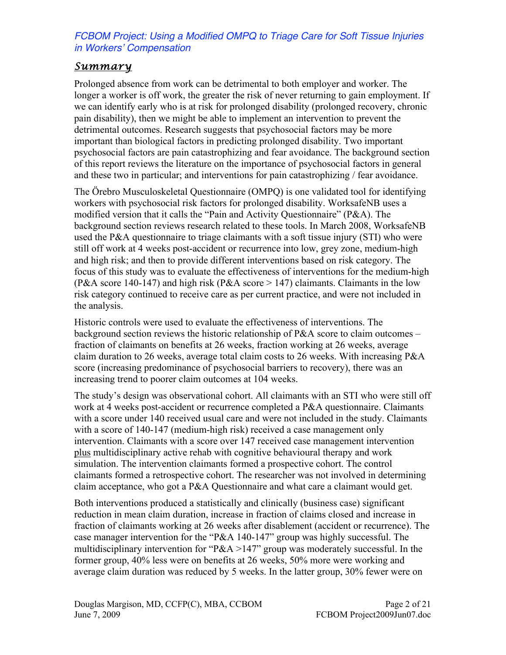## *Summary*

Prolonged absence from work can be detrimental to both employer and worker. The longer a worker is off work, the greater the risk of never returning to gain employment. If we can identify early who is at risk for prolonged disability (prolonged recovery, chronic pain disability), then we might be able to implement an intervention to prevent the detrimental outcomes. Research suggests that psychosocial factors may be more important than biological factors in predicting prolonged disability. Two important psychosocial factors are pain catastrophizing and fear avoidance. The background section of this report reviews the literature on the importance of psychosocial factors in general and these two in particular; and interventions for pain catastrophizing / fear avoidance.

The Örebro Musculoskeletal Questionnaire (OMPQ) is one validated tool for identifying workers with psychosocial risk factors for prolonged disability. WorksafeNB uses a modified version that it calls the "Pain and Activity Questionnaire" (P&A). The background section reviews research related to these tools. In March 2008, WorksafeNB used the P&A questionnaire to triage claimants with a soft tissue injury (STI) who were still off work at 4 weeks post-accident or recurrence into low, grey zone, medium-high and high risk; and then to provide different interventions based on risk category. The focus of this study was to evaluate the effectiveness of interventions for the medium-high (P&A score 140-147) and high risk (P&A score  $> 147$ ) claimants. Claimants in the low risk category continued to receive care as per current practice, and were not included in the analysis.

Historic controls were used to evaluate the effectiveness of interventions. The background section reviews the historic relationship of P&A score to claim outcomes – fraction of claimants on benefits at 26 weeks, fraction working at 26 weeks, average claim duration to 26 weeks, average total claim costs to 26 weeks. With increasing P&A score (increasing predominance of psychosocial barriers to recovery), there was an increasing trend to poorer claim outcomes at 104 weeks.

The study's design was observational cohort. All claimants with an STI who were still off work at 4 weeks post-accident or recurrence completed a P&A questionnaire. Claimants with a score under 140 received usual care and were not included in the study. Claimants with a score of 140-147 (medium-high risk) received a case management only intervention. Claimants with a score over 147 received case management intervention plus multidisciplinary active rehab with cognitive behavioural therapy and work simulation. The intervention claimants formed a prospective cohort. The control claimants formed a retrospective cohort. The researcher was not involved in determining claim acceptance, who got a P&A Questionnaire and what care a claimant would get.

Both interventions produced a statistically and clinically (business case) significant reduction in mean claim duration, increase in fraction of claims closed and increase in fraction of claimants working at 26 weeks after disablement (accident or recurrence). The case manager intervention for the "P&A 140-147" group was highly successful. The multidisciplinary intervention for "P&A >147" group was moderately successful. In the former group, 40% less were on benefits at 26 weeks, 50% more were working and average claim duration was reduced by 5 weeks. In the latter group, 30% fewer were on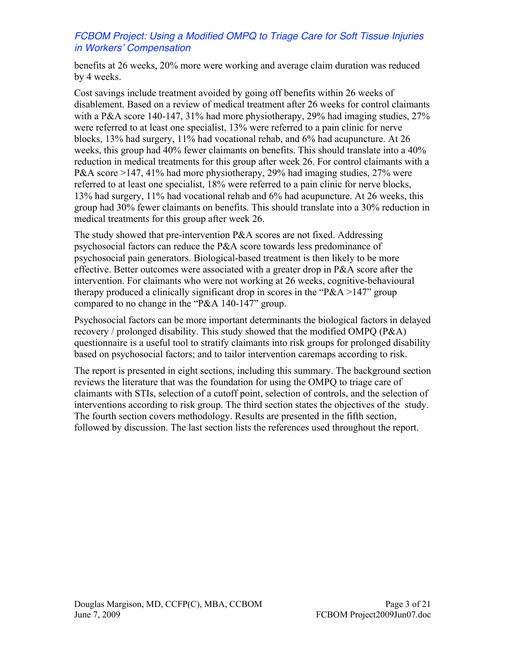benefits at 26 weeks, 20% more were working and average claim duration was reduced by 4 weeks.

Cost savings include treatment avoided by going off benefits within 26 weeks of disablement. Based on a review of medical treatment after 26 weeks for control claimants with a P&A score 140-147, 31% had more physiotherapy, 29% had imaging studies,  $27\%$ were referred to at least one specialist, 13% were referred to a pain clinic for nerve blocks, 13% had surgery, 11% had vocational rehab, and 6% had acupuncture. At 26 weeks, this group had 40% fewer claimants on benefits. This should translate into a 40% reduction in medical treatments for this group after week 26. For control claimants with a P&A score >147, 41% had more physiotherapy, 29% had imaging studies, 27% were referred to at least one specialist, 18% were referred to a pain clinic for nerve blocks, 13% had surgery, 11% had vocational rehab and 6% had acupuncture. At 26 weeks, this group had 30% fewer claimants on benefits. This should translate into a 30% reduction in medical treatments for this group after week 26.

The study showed that pre-intervention P&A scores are not fixed. Addressing psychosocial factors can reduce the P&A score towards less predominance of psychosocial pain generators. Biological-based treatment is then likely to be more effective. Better outcomes were associated with a greater drop in P&A score after the intervention. For claimants who were not working at 26 weeks, cognitive-behavioural therapy produced a clinically significant drop in scores in the " $P&A>147"$ " group compared to no change in the "P&A 140-147" group.

Psychosocial factors can be more important determinants the biological factors in delayed recovery / prolonged disability. This study showed that the modified OMPQ (P&A) questionnaire is a useful tool to stratify claimants into risk groups for prolonged disability based on psychosocial factors; and to tailor intervention caremaps according to risk.

The report is presented in eight sections, including this summary. The background section reviews the literature that was the foundation for using the OMPQ to triage care of claimants with STIs, selection of a cutoff point, selection of controls, and the selection of interventions according to risk group. The third section states the objectives of the study. The fourth section covers methodology. Results are presented in the fifth section, followed by discussion. The last section lists the references used throughout the report.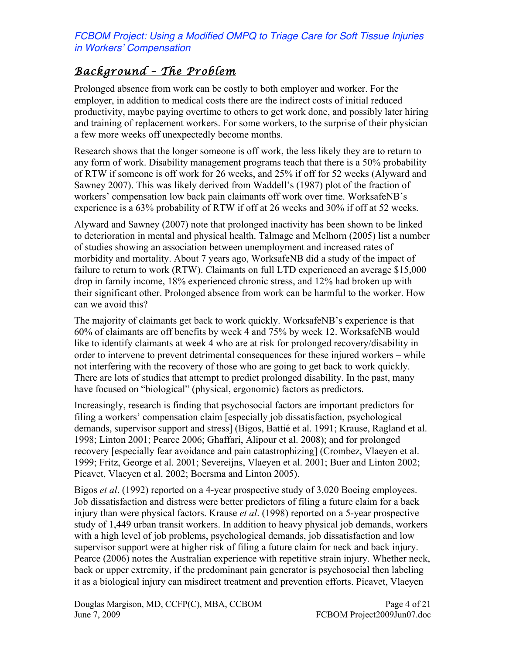## *Background – The Problem*

Prolonged absence from work can be costly to both employer and worker. For the employer, in addition to medical costs there are the indirect costs of initial reduced productivity, maybe paying overtime to others to get work done, and possibly later hiring and training of replacement workers. For some workers, to the surprise of their physician a few more weeks off unexpectedly become months.

Research shows that the longer someone is off work, the less likely they are to return to any form of work. Disability management programs teach that there is a 50% probability of RTW if someone is off work for 26 weeks, and 25% if off for 52 weeks (Alyward and Sawney 2007). This was likely derived from Waddell's (1987) plot of the fraction of workers' compensation low back pain claimants off work over time. WorksafeNB's experience is a 63% probability of RTW if off at 26 weeks and 30% if off at 52 weeks.

Alyward and Sawney (2007) note that prolonged inactivity has been shown to be linked to deterioration in mental and physical health. Talmage and Melhorn (2005) list a number of studies showing an association between unemployment and increased rates of morbidity and mortality. About 7 years ago, WorksafeNB did a study of the impact of failure to return to work (RTW). Claimants on full LTD experienced an average \$15,000 drop in family income, 18% experienced chronic stress, and 12% had broken up with their significant other. Prolonged absence from work can be harmful to the worker. How can we avoid this?

The majority of claimants get back to work quickly. WorksafeNB's experience is that 60% of claimants are off benefits by week 4 and 75% by week 12. WorksafeNB would like to identify claimants at week 4 who are at risk for prolonged recovery/disability in order to intervene to prevent detrimental consequences for these injured workers – while not interfering with the recovery of those who are going to get back to work quickly. There are lots of studies that attempt to predict prolonged disability. In the past, many have focused on "biological" (physical, ergonomic) factors as predictors.

Increasingly, research is finding that psychosocial factors are important predictors for filing a workers' compensation claim [especially job dissatisfaction, psychological demands, supervisor support and stress] (Bigos, Battié et al. 1991; Krause, Ragland et al. 1998; Linton 2001; Pearce 2006; Ghaffari, Alipour et al. 2008); and for prolonged recovery [especially fear avoidance and pain catastrophizing] (Crombez, Vlaeyen et al. 1999; Fritz, George et al. 2001; Severeijns, Vlaeyen et al. 2001; Buer and Linton 2002; Picavet, Vlaeyen et al. 2002; Boersma and Linton 2005).

Bigos *et al*. (1992) reported on a 4-year prospective study of 3,020 Boeing employees. Job dissatisfaction and distress were better predictors of filing a future claim for a back injury than were physical factors. Krause *et al*. (1998) reported on a 5-year prospective study of 1,449 urban transit workers. In addition to heavy physical job demands, workers with a high level of job problems, psychological demands, job dissatisfaction and low supervisor support were at higher risk of filing a future claim for neck and back injury. Pearce (2006) notes the Australian experience with repetitive strain injury. Whether neck, back or upper extremity, if the predominant pain generator is psychosocial then labeling it as a biological injury can misdirect treatment and prevention efforts. Picavet, Vlaeyen

Douglas Margison, MD, CCFP(C), MBA, CCBOM <br>June 7, 2009<br>FCBOM Project2009Jun07.doc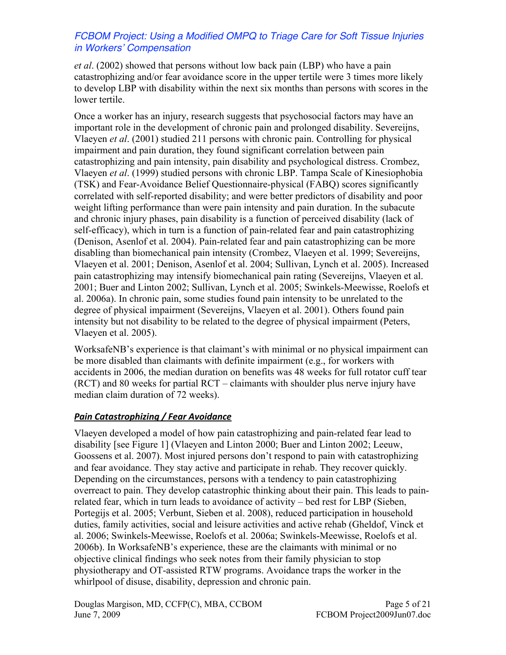*et al*. (2002) showed that persons without low back pain (LBP) who have a pain catastrophizing and/or fear avoidance score in the upper tertile were 3 times more likely to develop LBP with disability within the next six months than persons with scores in the lower tertile.

Once a worker has an injury, research suggests that psychosocial factors may have an important role in the development of chronic pain and prolonged disability. Severeijns, Vlaeyen *et al*. (2001) studied 211 persons with chronic pain. Controlling for physical impairment and pain duration, they found significant correlation between pain catastrophizing and pain intensity, pain disability and psychological distress. Crombez, Vlaeyen *et al*. (1999) studied persons with chronic LBP. Tampa Scale of Kinesiophobia (TSK) and Fear-Avoidance Belief Questionnaire-physical (FABQ) scores significantly correlated with self-reported disability; and were better predictors of disability and poor weight lifting performance than were pain intensity and pain duration. In the subacute and chronic injury phases, pain disability is a function of perceived disability (lack of self-efficacy), which in turn is a function of pain-related fear and pain catastrophizing (Denison, Asenlof et al. 2004). Pain-related fear and pain catastrophizing can be more disabling than biomechanical pain intensity (Crombez, Vlaeyen et al. 1999; Severeijns, Vlaeyen et al. 2001; Denison, Asenlof et al. 2004; Sullivan, Lynch et al. 2005). Increased pain catastrophizing may intensify biomechanical pain rating (Severeijns, Vlaeyen et al. 2001; Buer and Linton 2002; Sullivan, Lynch et al. 2005; Swinkels-Meewisse, Roelofs et al. 2006a). In chronic pain, some studies found pain intensity to be unrelated to the degree of physical impairment (Severeijns, Vlaeyen et al. 2001). Others found pain intensity but not disability to be related to the degree of physical impairment (Peters, Vlaeyen et al. 2005).

WorksafeNB's experience is that claimant's with minimal or no physical impairment can be more disabled than claimants with definite impairment (e.g., for workers with accidents in 2006, the median duration on benefits was 48 weeks for full rotator cuff tear (RCT) and 80 weeks for partial RCT – claimants with shoulder plus nerve injury have median claim duration of 72 weeks).

#### *Pain Catastrophizing / Fear Avoidance*

Vlaeyen developed a model of how pain catastrophizing and pain-related fear lead to disability [see Figure 1] (Vlaeyen and Linton 2000; Buer and Linton 2002; Leeuw, Goossens et al. 2007). Most injured persons don't respond to pain with catastrophizing and fear avoidance. They stay active and participate in rehab. They recover quickly. Depending on the circumstances, persons with a tendency to pain catastrophizing overreact to pain. They develop catastrophic thinking about their pain. This leads to painrelated fear, which in turn leads to avoidance of activity – bed rest for LBP (Sieben, Portegijs et al. 2005; Verbunt, Sieben et al. 2008), reduced participation in household duties, family activities, social and leisure activities and active rehab (Gheldof, Vinck et al. 2006; Swinkels-Meewisse, Roelofs et al. 2006a; Swinkels-Meewisse, Roelofs et al. 2006b). In WorksafeNB's experience, these are the claimants with minimal or no objective clinical findings who seek notes from their family physician to stop physiotherapy and OT-assisted RTW programs. Avoidance traps the worker in the whirlpool of disuse, disability, depression and chronic pain.

Douglas Margison, MD, CCFP(C), MBA, CCBOM <br>June 7, 2009<br>FCBOM Project2009Jun07.doc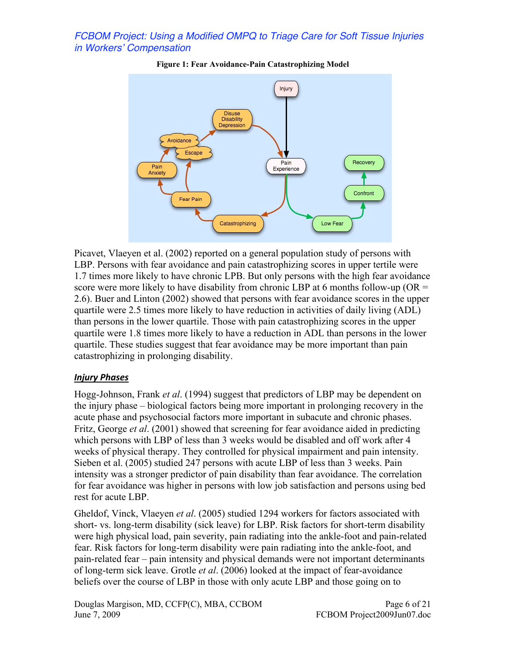

**Figure 1: Fear Avoidance-Pain Catastrophizing Model**

Picavet, Vlaeyen et al. (2002) reported on a general population study of persons with LBP. Persons with fear avoidance and pain catastrophizing scores in upper tertile were 1.7 times more likely to have chronic LPB. But only persons with the high fear avoidance score were more likely to have disability from chronic LBP at 6 months follow-up ( $OR =$ 2.6). Buer and Linton (2002) showed that persons with fear avoidance scores in the upper quartile were 2.5 times more likely to have reduction in activities of daily living (ADL) than persons in the lower quartile. Those with pain catastrophizing scores in the upper quartile were 1.8 times more likely to have a reduction in ADL than persons in the lower quartile. These studies suggest that fear avoidance may be more important than pain catastrophizing in prolonging disability.

#### *Injury Phases*

Hogg-Johnson, Frank *et al*. (1994) suggest that predictors of LBP may be dependent on the injury phase – biological factors being more important in prolonging recovery in the acute phase and psychosocial factors more important in subacute and chronic phases. Fritz, George *et al*. (2001) showed that screening for fear avoidance aided in predicting which persons with LBP of less than 3 weeks would be disabled and off work after 4 weeks of physical therapy. They controlled for physical impairment and pain intensity. Sieben et al. (2005) studied 247 persons with acute LBP of less than 3 weeks. Pain intensity was a stronger predictor of pain disability than fear avoidance. The correlation for fear avoidance was higher in persons with low job satisfaction and persons using bed rest for acute LBP.

Gheldof, Vinck, Vlaeyen *et al*. (2005) studied 1294 workers for factors associated with short- vs. long-term disability (sick leave) for LBP. Risk factors for short-term disability were high physical load, pain severity, pain radiating into the ankle-foot and pain-related fear. Risk factors for long-term disability were pain radiating into the ankle-foot, and pain-related fear – pain intensity and physical demands were not important determinants of long-term sick leave. Grotle *et al*. (2006) looked at the impact of fear-avoidance beliefs over the course of LBP in those with only acute LBP and those going on to

Douglas Margison, MD, CCFP(C), MBA, CCBOM Page 6 of 21 June 7, 2009 FCBOM Project2009Jun07.doc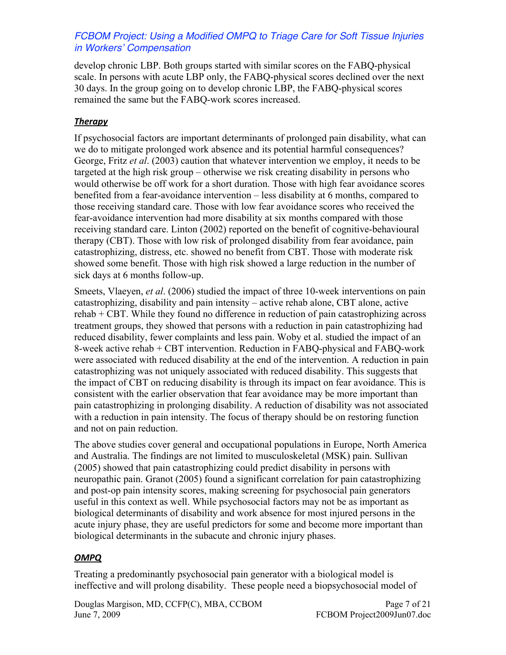develop chronic LBP. Both groups started with similar scores on the FABQ-physical scale. In persons with acute LBP only, the FABQ-physical scores declined over the next 30 days. In the group going on to develop chronic LBP, the FABQ-physical scores remained the same but the FABQ-work scores increased.

### *Therapy*

If psychosocial factors are important determinants of prolonged pain disability, what can we do to mitigate prolonged work absence and its potential harmful consequences? George, Fritz *et al*. (2003) caution that whatever intervention we employ, it needs to be targeted at the high risk group – otherwise we risk creating disability in persons who would otherwise be off work for a short duration. Those with high fear avoidance scores benefited from a fear-avoidance intervention – less disability at 6 months, compared to those receiving standard care. Those with low fear avoidance scores who received the fear-avoidance intervention had more disability at six months compared with those receiving standard care. Linton (2002) reported on the benefit of cognitive-behavioural therapy (CBT). Those with low risk of prolonged disability from fear avoidance, pain catastrophizing, distress, etc. showed no benefit from CBT. Those with moderate risk showed some benefit. Those with high risk showed a large reduction in the number of sick days at 6 months follow-up.

Smeets, Vlaeyen, *et al*. (2006) studied the impact of three 10-week interventions on pain catastrophizing, disability and pain intensity – active rehab alone, CBT alone, active rehab + CBT. While they found no difference in reduction of pain catastrophizing across treatment groups, they showed that persons with a reduction in pain catastrophizing had reduced disability, fewer complaints and less pain. Woby et al. studied the impact of an 8-week active rehab + CBT intervention. Reduction in FABQ-physical and FABQ-work were associated with reduced disability at the end of the intervention. A reduction in pain catastrophizing was not uniquely associated with reduced disability. This suggests that the impact of CBT on reducing disability is through its impact on fear avoidance. This is consistent with the earlier observation that fear avoidance may be more important than pain catastrophizing in prolonging disability. A reduction of disability was not associated with a reduction in pain intensity. The focus of therapy should be on restoring function and not on pain reduction.

The above studies cover general and occupational populations in Europe, North America and Australia. The findings are not limited to musculoskeletal (MSK) pain. Sullivan (2005) showed that pain catastrophizing could predict disability in persons with neuropathic pain. Granot (2005) found a significant correlation for pain catastrophizing and post-op pain intensity scores, making screening for psychosocial pain generators useful in this context as well. While psychosocial factors may not be as important as biological determinants of disability and work absence for most injured persons in the acute injury phase, they are useful predictors for some and become more important than biological determinants in the subacute and chronic injury phases.

### *OMPQ*

Treating a predominantly psychosocial pain generator with a biological model is ineffective and will prolong disability. These people need a biopsychosocial model of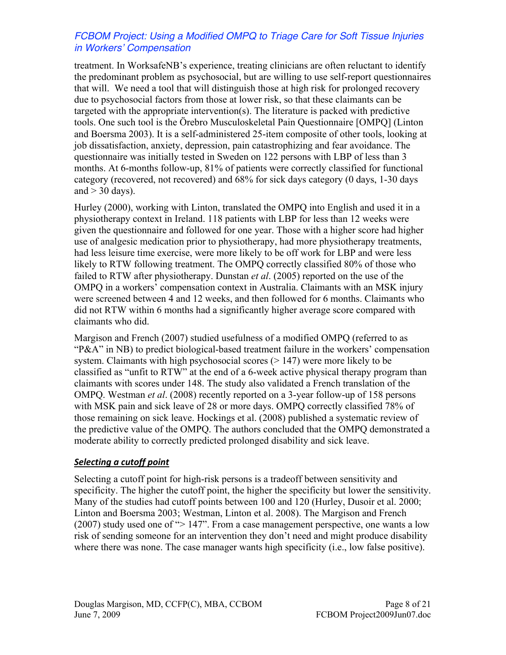treatment. In WorksafeNB's experience, treating clinicians are often reluctant to identify the predominant problem as psychosocial, but are willing to use self-report questionnaires that will. We need a tool that will distinguish those at high risk for prolonged recovery due to psychosocial factors from those at lower risk, so that these claimants can be targeted with the appropriate intervention(s). The literature is packed with predictive tools. One such tool is the Örebro Musculoskeletal Pain Questionnaire [OMPQ] (Linton and Boersma 2003). It is a self-administered 25-item composite of other tools, looking at job dissatisfaction, anxiety, depression, pain catastrophizing and fear avoidance. The questionnaire was initially tested in Sweden on 122 persons with LBP of less than 3 months. At 6-months follow-up, 81% of patients were correctly classified for functional category (recovered, not recovered) and 68% for sick days category (0 days, 1-30 days and  $>$  30 days).

Hurley (2000), working with Linton, translated the OMPQ into English and used it in a physiotherapy context in Ireland. 118 patients with LBP for less than 12 weeks were given the questionnaire and followed for one year. Those with a higher score had higher use of analgesic medication prior to physiotherapy, had more physiotherapy treatments, had less leisure time exercise, were more likely to be off work for LBP and were less likely to RTW following treatment. The OMPQ correctly classified 80% of those who failed to RTW after physiotherapy. Dunstan *et al*. (2005) reported on the use of the OMPQ in a workers' compensation context in Australia. Claimants with an MSK injury were screened between 4 and 12 weeks, and then followed for 6 months. Claimants who did not RTW within 6 months had a significantly higher average score compared with claimants who did.

Margison and French (2007) studied usefulness of a modified OMPQ (referred to as "P&A" in NB) to predict biological-based treatment failure in the workers' compensation system. Claimants with high psychosocial scores ( $> 147$ ) were more likely to be classified as "unfit to RTW" at the end of a 6-week active physical therapy program than claimants with scores under 148. The study also validated a French translation of the OMPQ. Westman *et al*. (2008) recently reported on a 3-year follow-up of 158 persons with MSK pain and sick leave of 28 or more days. OMPQ correctly classified 78% of those remaining on sick leave. Hockings et al. (2008) published a systematic review of the predictive value of the OMPQ. The authors concluded that the OMPQ demonstrated a moderate ability to correctly predicted prolonged disability and sick leave.

#### *Selecting a cutoff point*

Selecting a cutoff point for high-risk persons is a tradeoff between sensitivity and specificity. The higher the cutoff point, the higher the specificity but lower the sensitivity. Many of the studies had cutoff points between 100 and 120 (Hurley, Dusoir et al. 2000; Linton and Boersma 2003; Westman, Linton et al. 2008). The Margison and French (2007) study used one of "> 147". From a case management perspective, one wants a low risk of sending someone for an intervention they don't need and might produce disability where there was none. The case manager wants high specificity (i.e., low false positive).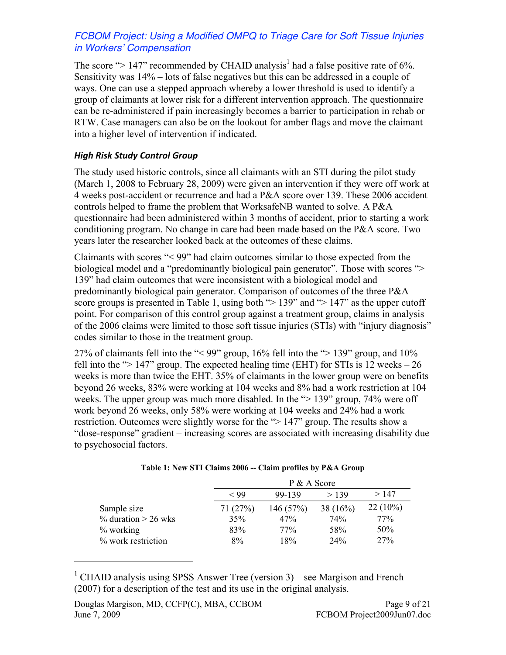The score " $> 147$ " recommended by CHAID analysis<sup>1</sup> had a false positive rate of 6%. Sensitivity was 14% – lots of false negatives but this can be addressed in a couple of ways. One can use a stepped approach whereby a lower threshold is used to identify a group of claimants at lower risk for a different intervention approach. The questionnaire can be re-administered if pain increasingly becomes a barrier to participation in rehab or RTW. Case managers can also be on the lookout for amber flags and move the claimant into a higher level of intervention if indicated.

### *High Risk Study Control Group*

The study used historic controls, since all claimants with an STI during the pilot study (March 1, 2008 to February 28, 2009) were given an intervention if they were off work at 4 weeks post-accident or recurrence and had a P&A score over 139. These 2006 accident controls helped to frame the problem that WorksafeNB wanted to solve. A P&A questionnaire had been administered within 3 months of accident, prior to starting a work conditioning program. No change in care had been made based on the P&A score. Two years later the researcher looked back at the outcomes of these claims.

Claimants with scores "< 99" had claim outcomes similar to those expected from the biological model and a "predominantly biological pain generator". Those with scores "> 139" had claim outcomes that were inconsistent with a biological model and predominantly biological pain generator. Comparison of outcomes of the three P&A score groups is presented in Table 1, using both " $> 139$ " and " $> 147$ " as the upper cutoff point. For comparison of this control group against a treatment group, claims in analysis of the 2006 claims were limited to those soft tissue injuries (STIs) with "injury diagnosis" codes similar to those in the treatment group.

27% of claimants fell into the "< 99" group, 16% fell into the "> 139" group, and 10% fell into the " $> 147$ " group. The expected healing time (EHT) for STIs is 12 weeks  $-26$ weeks is more than twice the EHT. 35% of claimants in the lower group were on benefits beyond 26 weeks, 83% were working at 104 weeks and 8% had a work restriction at 104 weeks. The upper group was much more disabled. In the ">139" group, 74% were off work beyond 26 weeks, only 58% were working at 104 weeks and 24% had a work restriction. Outcomes were slightly worse for the "> 147" group. The results show a "dose-response" gradient – increasing scores are associated with increasing disability due to psychosocial factors.

|                        |            | P & A Score             |            |            |  |  |  |
|------------------------|------------|-------------------------|------------|------------|--|--|--|
|                        | $\rm < 99$ | > 147<br>>139<br>99-139 |            |            |  |  |  |
| Sample size            | 71(27%)    | 146(57%)                | 38 $(16%)$ | $22(10\%)$ |  |  |  |
| $\%$ duration > 26 wks | 35%        | 47%                     | 74%        | 77%        |  |  |  |
| $%$ working            | 83%        | 77%                     | 58%        | 50%        |  |  |  |
| % work restriction     | 8%         | 18%                     | 24%        | 27%        |  |  |  |

|  |  |  | Table 1: New STI Claims 2006 -- Claim profiles by P&A Group |  |  |
|--|--|--|-------------------------------------------------------------|--|--|
|  |  |  |                                                             |  |  |

<sup>1</sup> CHAID analysis using SPSS Answer Tree (version 3) – see Margison and French (2007) for a description of the test and its use in the original analysis.

 $\overline{a}$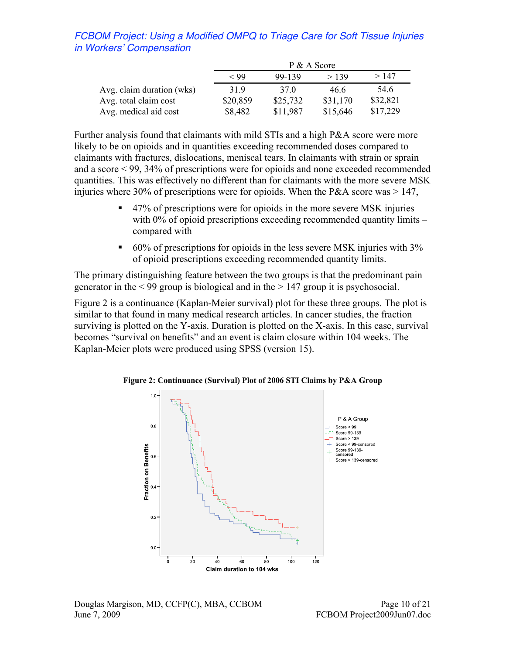|                           | P & A Score                      |                 |          |          |  |  |  |
|---------------------------|----------------------------------|-----------------|----------|----------|--|--|--|
|                           | >147<br>$<$ 99<br>99-139<br>>139 |                 |          |          |  |  |  |
| Avg. claim duration (wks) | 319                              | 37 <sup>0</sup> | 46.6     | 54.6     |  |  |  |
| Avg. total claim cost     | \$20,859                         | \$25,732        | \$31,170 | \$32,821 |  |  |  |
| Avg. medical aid cost     | \$8,482                          | \$11,987        | \$15,646 | \$17,229 |  |  |  |

Further analysis found that claimants with mild STIs and a high P&A score were more likely to be on opioids and in quantities exceeding recommended doses compared to claimants with fractures, dislocations, meniscal tears. In claimants with strain or sprain and a score < 99, 34% of prescriptions were for opioids and none exceeded recommended quantities. This was effectively no different than for claimants with the more severe MSK injuries where 30% of prescriptions were for opioids. When the P&A score was  $> 147$ ,

- 47% of prescriptions were for opioids in the more severe MSK injuries with  $0\%$  of opioid prescriptions exceeding recommended quantity limits – compared with
- $\bullet$  60% of prescriptions for opioids in the less severe MSK injuries with 3% of opioid prescriptions exceeding recommended quantity limits.

The primary distinguishing feature between the two groups is that the predominant pain generator in the < 99 group is biological and in the > 147 group it is psychosocial.

Figure 2 is a continuance (Kaplan-Meier survival) plot for these three groups. The plot is similar to that found in many medical research articles. In cancer studies, the fraction surviving is plotted on the Y-axis. Duration is plotted on the X-axis. In this case, survival becomes "survival on benefits" and an event is claim closure within 104 weeks. The Kaplan-Meier plots were produced using SPSS (version 15).



Figure 2: Continuance (Survival) Plot of 2006 STI Claims by P&A Group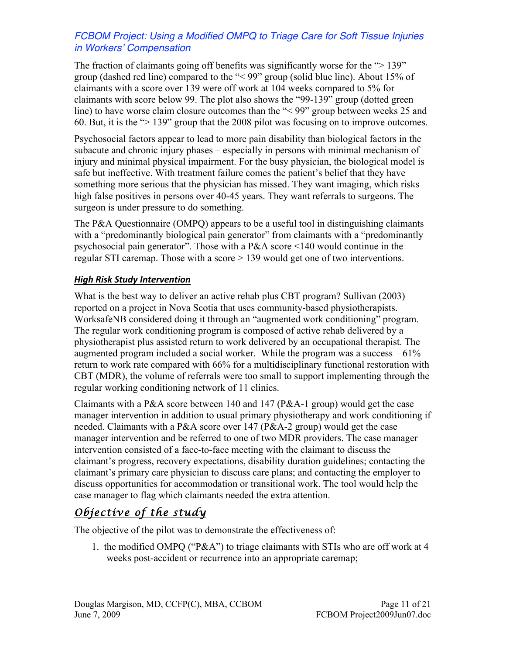The fraction of claimants going off benefits was significantly worse for the ">139" group (dashed red line) compared to the "< 99" group (solid blue line). About 15% of claimants with a score over 139 were off work at 104 weeks compared to 5% for claimants with score below 99. The plot also shows the "99-139" group (dotted green line) to have worse claim closure outcomes than the "<99" group between weeks 25 and 60. But, it is the "> 139" group that the 2008 pilot was focusing on to improve outcomes.

Psychosocial factors appear to lead to more pain disability than biological factors in the subacute and chronic injury phases – especially in persons with minimal mechanism of injury and minimal physical impairment. For the busy physician, the biological model is safe but ineffective. With treatment failure comes the patient's belief that they have something more serious that the physician has missed. They want imaging, which risks high false positives in persons over 40-45 years. They want referrals to surgeons. The surgeon is under pressure to do something.

The P&A Questionnaire (OMPQ) appears to be a useful tool in distinguishing claimants with a "predominantly biological pain generator" from claimants with a "predominantly psychosocial pain generator". Those with a P&A score <140 would continue in the regular STI caremap. Those with a score > 139 would get one of two interventions.

### *High Risk Study Intervention*

What is the best way to deliver an active rehab plus CBT program? Sullivan (2003) reported on a project in Nova Scotia that uses community-based physiotherapists. WorksafeNB considered doing it through an "augmented work conditioning" program. The regular work conditioning program is composed of active rehab delivered by a physiotherapist plus assisted return to work delivered by an occupational therapist. The augmented program included a social worker. While the program was a success – 61% return to work rate compared with 66% for a multidisciplinary functional restoration with CBT (MDR), the volume of referrals were too small to support implementing through the regular working conditioning network of 11 clinics.

Claimants with a P&A score between 140 and 147 (P&A-1 group) would get the case manager intervention in addition to usual primary physiotherapy and work conditioning if needed. Claimants with a P&A score over 147 (P&A-2 group) would get the case manager intervention and be referred to one of two MDR providers. The case manager intervention consisted of a face-to-face meeting with the claimant to discuss the claimant's progress, recovery expectations, disability duration guidelines; contacting the claimant's primary care physician to discuss care plans; and contacting the employer to discuss opportunities for accommodation or transitional work. The tool would help the case manager to flag which claimants needed the extra attention.

# *Objective of the study*

The objective of the pilot was to demonstrate the effectiveness of:

1. the modified OMPQ ("P&A") to triage claimants with STIs who are off work at 4 weeks post-accident or recurrence into an appropriate caremap;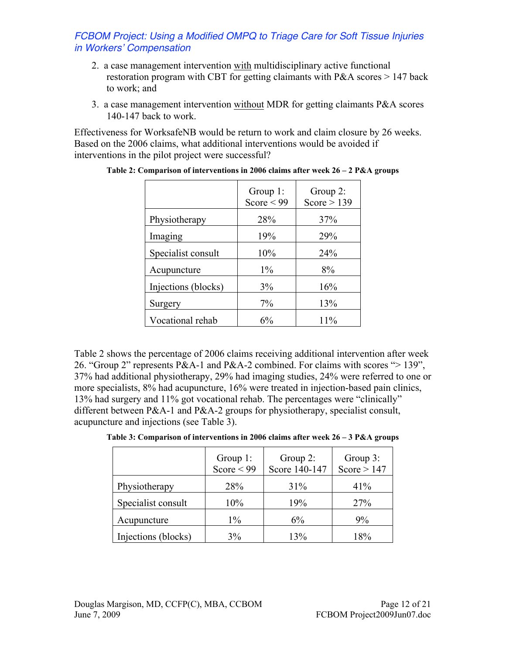- 2. a case management intervention with multidisciplinary active functional restoration program with CBT for getting claimants with P&A scores > 147 back to work; and
- 3. a case management intervention without MDR for getting claimants P&A scores 140-147 back to work.

Effectiveness for WorksafeNB would be return to work and claim closure by 26 weeks. Based on the 2006 claims, what additional interventions would be avoided if interventions in the pilot project were successful?

|                     | Group 1:<br>Score $<$ 99 | Group 2:<br>Score $> 139$ |
|---------------------|--------------------------|---------------------------|
| Physiotherapy       | 28%                      | 37%                       |
| Imaging             | 19%                      | 29%                       |
| Specialist consult  | 10%                      | 24%                       |
| Acupuncture         | $1\%$                    | 8%                        |
| Injections (blocks) | 3%                       | 16%                       |
| Surgery             | 7%                       | 13%                       |
| Vocational rehab    | 6%                       | 11%                       |

**Table 2: Comparison of interventions in 2006 claims after week 26 – 2 P&A groups**

Table 2 shows the percentage of 2006 claims receiving additional intervention after week 26. "Group 2" represents P&A-1 and P&A-2 combined. For claims with scores "> 139", 37% had additional physiotherapy, 29% had imaging studies, 24% were referred to one or more specialists, 8% had acupuncture, 16% were treated in injection-based pain clinics, 13% had surgery and 11% got vocational rehab. The percentages were "clinically" different between P&A-1 and P&A-2 groups for physiotherapy, specialist consult, acupuncture and injections (see Table 3).

|                     | Group $1$ :<br>Score $\leq 99$ | Group $2$ :<br>Score 140-147 | Group 3:<br>Score $> 147$ |
|---------------------|--------------------------------|------------------------------|---------------------------|
| Physiotherapy       | 28%                            | 31%                          | 41%                       |
| Specialist consult  | 10%                            | 19%                          | 27%                       |
| Acupuncture         | $1\%$                          | 6%                           | 9%                        |
| Injections (blocks) | 3%                             | 13%                          | 18%                       |

| Table 3: Comparison of interventions in 2006 claims after week 26 – 3 P&A groups |  |  |  |  |
|----------------------------------------------------------------------------------|--|--|--|--|
|----------------------------------------------------------------------------------|--|--|--|--|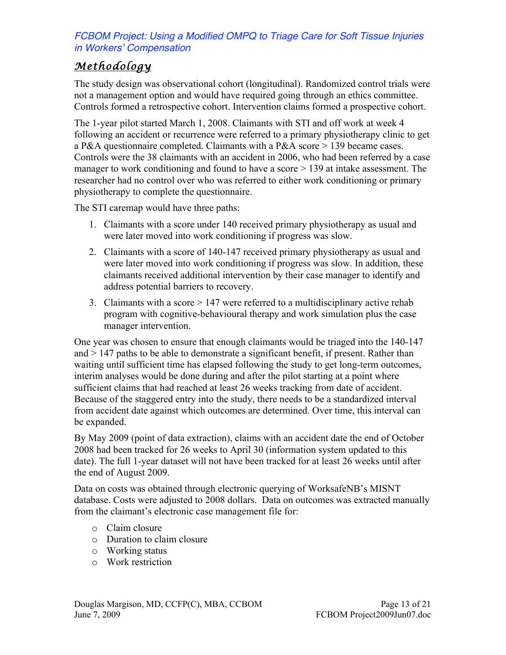# *Methodology*

The study design was observational cohort (longitudinal). Randomized control trials were not a management option and would have required going through an ethics committee. Controls formed a retrospective cohort. Intervention claims formed a prospective cohort.

The 1-year pilot started March 1, 2008. Claimants with STI and off work at week 4 following an accident or recurrence were referred to a primary physiotherapy clinic to get a P&A questionnaire completed. Claimants with a P&A score > 139 became cases. Controls were the 38 claimants with an accident in 2006, who had been referred by a case manager to work conditioning and found to have a score  $> 139$  at intake assessment. The researcher had no control over who was referred to either work conditioning or primary physiotherapy to complete the questionnaire.

The STI caremap would have three paths:

- 1. Claimants with a score under 140 received primary physiotherapy as usual and were later moved into work conditioning if progress was slow.
- 2. Claimants with a score of 140-147 received primary physiotherapy as usual and were later moved into work conditioning if progress was slow. In addition, these claimants received additional intervention by their case manager to identify and address potential barriers to recovery.
- 3. Claimants with a score > 147 were referred to a multidisciplinary active rehab program with cognitive-behavioural therapy and work simulation plus the case manager intervention.

One year was chosen to ensure that enough claimants would be triaged into the 140-147 and > 147 paths to be able to demonstrate a significant benefit, if present. Rather than waiting until sufficient time has elapsed following the study to get long-term outcomes, interim analyses would be done during and after the pilot starting at a point where sufficient claims that had reached at least 26 weeks tracking from date of accident. Because of the staggered entry into the study, there needs to be a standardized interval from accident date against which outcomes are determined. Over time, this interval can be expanded.

By May 2009 (point of data extraction), claims with an accident date the end of October 2008 had been tracked for 26 weeks to April 30 (information system updated to this date). The full 1-year dataset will not have been tracked for at least 26 weeks until after the end of August 2009.

Data on costs was obtained through electronic querying of WorksafeNB's MISNT database. Costs were adjusted to 2008 dollars. Data on outcomes was extracted manually from the claimant's electronic case management file for:

- o Claim closure
- o Duration to claim closure
- o Working status
- o Work restriction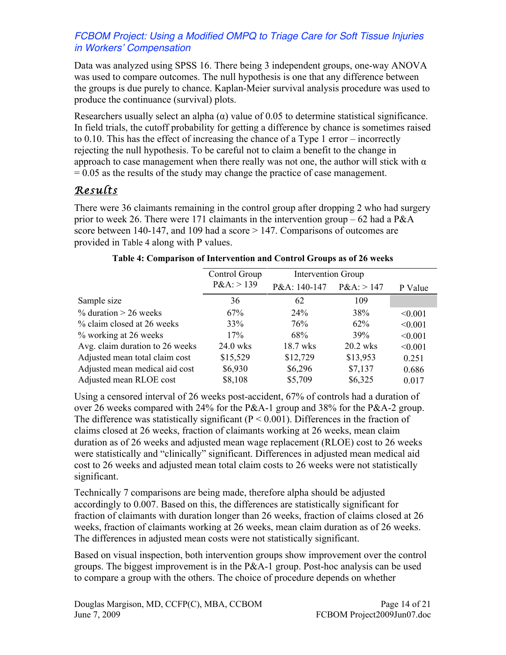Data was analyzed using SPSS 16. There being 3 independent groups, one-way ANOVA was used to compare outcomes. The null hypothesis is one that any difference between the groups is due purely to chance. Kaplan-Meier survival analysis procedure was used to produce the continuance (survival) plots.

Researchers usually select an alpha  $\alpha$ ) value of 0.05 to determine statistical significance. In field trials, the cutoff probability for getting a difference by chance is sometimes raised to 0.10. This has the effect of increasing the chance of a Type 1 error – incorrectly rejecting the null hypothesis. To be careful not to claim a benefit to the change in approach to case management when there really was not one, the author will stick with  $\alpha$  $= 0.05$  as the results of the study may change the practice of case management.

## *Results*

There were 36 claimants remaining in the control group after dropping 2 who had surgery prior to week 26. There were 171 claimants in the intervention group  $-62$  had a P&A score between 140-147, and 109 had a score  $> 147$ . Comparisons of outcomes are provided in Table 4 along with P values.

|                                 | Control Group | <b>Intervention Group</b> |              |         |
|---------------------------------|---------------|---------------------------|--------------|---------|
|                                 | $P&A:$ > 139  | P&A: 140-147              | $P&A:$ > 147 | P Value |
| Sample size                     | 36            | 62                        | 109          |         |
| $\%$ duration > 26 weeks        | 67%           | 24%                       | 38%          | < 0.001 |
| % claim closed at 26 weeks      | 33%           | 76%                       | $62\%$       | < 0.001 |
| % working at 26 weeks           | 17%           | 68%                       | 39%          | < 0.001 |
| Avg. claim duration to 26 weeks | 24.0 wks      | 18.7 wks                  | 20.2 wks     | < 0.001 |
| Adjusted mean total claim cost  | \$15,529      | \$12,729                  | \$13,953     | 0.251   |
| Adjusted mean medical aid cost  | \$6,930       | \$6,296                   | \$7,137      | 0.686   |
| Adjusted mean RLOE cost         | \$8,108       | \$5,709                   | \$6,325      | 0.017   |

#### **Table 4: Comparison of Intervention and Control Groups as of 26 weeks**

Using a censored interval of 26 weeks post-accident, 67% of controls had a duration of over 26 weeks compared with 24% for the P&A-1 group and 38% for the P&A-2 group. The difference was statistically significant ( $P < 0.001$ ). Differences in the fraction of claims closed at 26 weeks, fraction of claimants working at 26 weeks, mean claim duration as of 26 weeks and adjusted mean wage replacement (RLOE) cost to 26 weeks were statistically and "clinically" significant. Differences in adjusted mean medical aid cost to 26 weeks and adjusted mean total claim costs to 26 weeks were not statistically significant.

Technically 7 comparisons are being made, therefore alpha should be adjusted accordingly to 0.007. Based on this, the differences are statistically significant for fraction of claimants with duration longer than 26 weeks, fraction of claims closed at 26 weeks, fraction of claimants working at 26 weeks, mean claim duration as of 26 weeks. The differences in adjusted mean costs were not statistically significant.

Based on visual inspection, both intervention groups show improvement over the control groups. The biggest improvement is in the P&A-1 group. Post-hoc analysis can be used to compare a group with the others. The choice of procedure depends on whether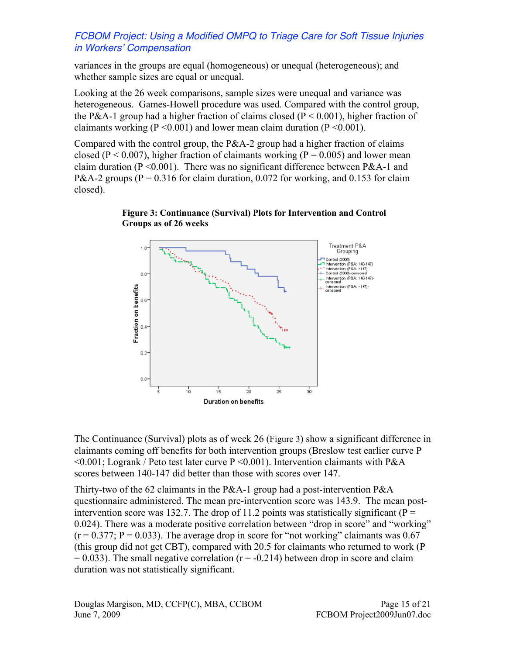variances in the groups are equal (homogeneous) or unequal (heterogeneous); and whether sample sizes are equal or unequal.

Looking at the 26 week comparisons, sample sizes were unequal and variance was heterogeneous. Games-Howell procedure was used. Compared with the control group, the P&A-1 group had a higher fraction of claims closed ( $P \le 0.001$ ), higher fraction of claimants working ( $P \le 0.001$ ) and lower mean claim duration ( $P \le 0.001$ ).

Compared with the control group, the  $P&A-2$  group had a higher fraction of claims closed ( $P < 0.007$ ), higher fraction of claimants working ( $P = 0.005$ ) and lower mean claim duration ( $P \le 0.001$ ). There was no significant difference between P&A-1 and P&A-2 groups ( $P = 0.316$  for claim duration, 0.072 for working, and 0.153 for claim closed).





The Continuance (Survival) plots as of week 26 (Figure 3) show a significant difference in claimants coming off benefits for both intervention groups (Breslow test earlier curve P  $\leq 0.001$ ; Logrank / Peto test later curve P $\leq 0.001$ ). Intervention claimants with P&A scores between 140-147 did better than those with scores over 147.

Thirty-two of the 62 claimants in the P&A-1 group had a post-intervention P&A questionnaire administered. The mean pre-intervention score was 143.9. The mean postintervention score was 132.7. The drop of 11.2 points was statistically significant ( $P =$ 0.024). There was a moderate positive correlation between "drop in score" and "working"  $(r = 0.377; P = 0.033)$ . The average drop in score for "not working" claimants was 0.67 (this group did not get CBT), compared with 20.5 for claimants who returned to work (P  $= 0.033$ ). The small negative correlation ( $r = -0.214$ ) between drop in score and claim duration was not statistically significant.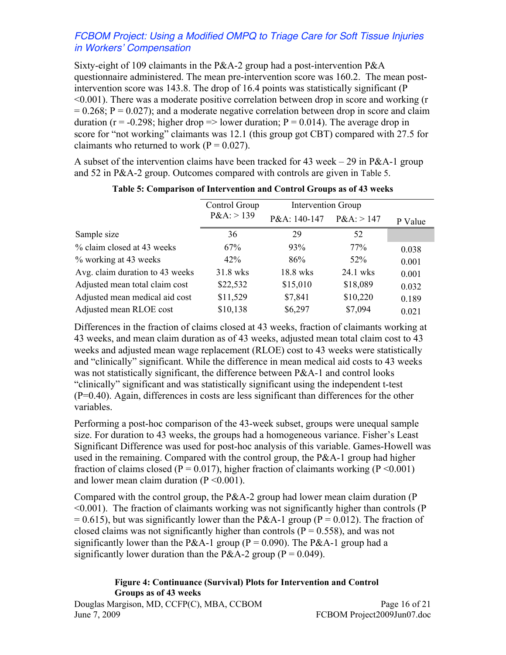Sixty-eight of 109 claimants in the P&A-2 group had a post-intervention P&A questionnaire administered. The mean pre-intervention score was 160.2. The mean postintervention score was 143.8. The drop of 16.4 points was statistically significant (P <0.001). There was a moderate positive correlation between drop in score and working (r  $= 0.268$ ; P = 0.027); and a moderate negative correlation between drop in score and claim duration ( $r = -0.298$ ; higher drop  $\Rightarrow$  lower duration;  $P = 0.014$ ). The average drop in score for "not working" claimants was 12.1 (this group got CBT) compared with 27.5 for claimants who returned to work ( $P = 0.027$ ).

A subset of the intervention claims have been tracked for 43 week – 29 in P&A-1 group and 52 in P&A-2 group. Outcomes compared with controls are given in Table 5.

|                                 | Control Group | <b>Intervention Group</b> |              |         |
|---------------------------------|---------------|---------------------------|--------------|---------|
|                                 | P&A: > 139    | P&A: 140-147              | $P&A:$ > 147 | P Value |
| Sample size                     | 36            | 29                        | 52           |         |
| % claim closed at 43 weeks      | 67%           | 93%                       | 77%          | 0.038   |
| % working at 43 weeks           | 42%           | 86%                       | $52\%$       | 0.001   |
| Avg. claim duration to 43 weeks | 31.8 wks      | 18.8 wks                  | 24.1 wks     | 0.001   |
| Adjusted mean total claim cost  | \$22,532      | \$15,010                  | \$18,089     | 0.032   |
| Adjusted mean medical aid cost  | \$11,529      | \$7,841                   | \$10,220     | 0.189   |
| Adjusted mean RLOE cost         | \$10,138      | \$6,297                   | \$7,094      | 0.021   |

#### **Table 5: Comparison of Intervention and Control Groups as of 43 weeks**

Differences in the fraction of claims closed at 43 weeks, fraction of claimants working at 43 weeks, and mean claim duration as of 43 weeks, adjusted mean total claim cost to 43 weeks and adjusted mean wage replacement (RLOE) cost to 43 weeks were statistically and "clinically" significant. While the difference in mean medical aid costs to 43 weeks was not statistically significant, the difference between P&A-1 and control looks "clinically" significant and was statistically significant using the independent t-test (P=0.40). Again, differences in costs are less significant than differences for the other variables.

Performing a post-hoc comparison of the 43-week subset, groups were unequal sample size. For duration to 43 weeks, the groups had a homogeneous variance. Fisher's Least Significant Difference was used for post-hoc analysis of this variable. Games-Howell was used in the remaining. Compared with the control group, the P&A-1 group had higher fraction of claims closed ( $P = 0.017$ ), higher fraction of claimants working ( $P \le 0.001$ ) and lower mean claim duration  $(P \le 0.001)$ .

Compared with the control group, the P&A-2 group had lower mean claim duration (P <0.001). The fraction of claimants working was not significantly higher than controls (P  $= 0.615$ ), but was significantly lower than the P&A-1 group (P = 0.012). The fraction of closed claims was not significantly higher than controls ( $P = 0.558$ ), and was not significantly lower than the P&A-1 group ( $P = 0.090$ ). The P&A-1 group had a significantly lower duration than the P&A-2 group ( $P = 0.049$ ).

#### **Figure 4: Continuance (Survival) Plots for Intervention and Control Groups as of 43 weeks**

Douglas Margison, MD, CCFP(C), MBA, CCBOM Page 16 of 21 June 7, 2009 FCBOM Project2009Jun07.doc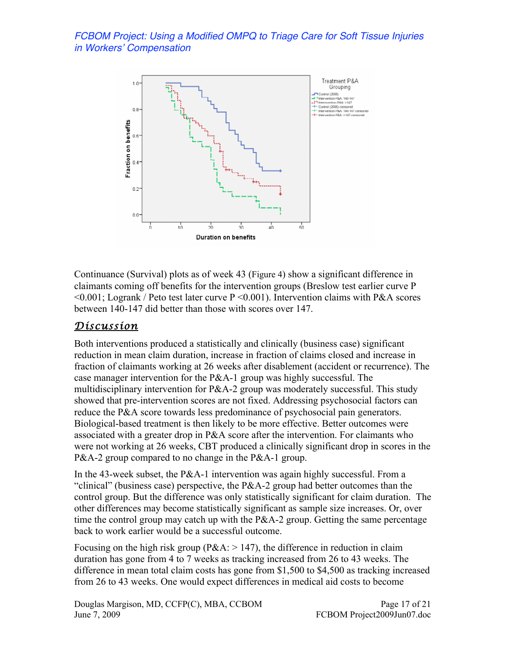

Continuance (Survival) plots as of week 43 (Figure 4) show a significant difference in claimants coming off benefits for the intervention groups (Breslow test earlier curve P  $\leq 0.001$ ; Logrank / Peto test later curve P $\leq 0.001$ ). Intervention claims with P&A scores between 140-147 did better than those with scores over 147.

## *Discussion*

Both interventions produced a statistically and clinically (business case) significant reduction in mean claim duration, increase in fraction of claims closed and increase in fraction of claimants working at 26 weeks after disablement (accident or recurrence). The case manager intervention for the P&A-1 group was highly successful. The multidisciplinary intervention for P&A-2 group was moderately successful. This study showed that pre-intervention scores are not fixed. Addressing psychosocial factors can reduce the P&A score towards less predominance of psychosocial pain generators. Biological-based treatment is then likely to be more effective. Better outcomes were associated with a greater drop in P&A score after the intervention. For claimants who were not working at 26 weeks, CBT produced a clinically significant drop in scores in the P&A-2 group compared to no change in the P&A-1 group.

In the 43-week subset, the P&A-1 intervention was again highly successful. From a "clinical" (business case) perspective, the P&A-2 group had better outcomes than the control group. But the difference was only statistically significant for claim duration. The other differences may become statistically significant as sample size increases. Or, over time the control group may catch up with the  $P&A-2$  group. Getting the same percentage back to work earlier would be a successful outcome.

Focusing on the high risk group ( $P&A$ :  $>147$ ), the difference in reduction in claim duration has gone from 4 to 7 weeks as tracking increased from 26 to 43 weeks. The difference in mean total claim costs has gone from \$1,500 to \$4,500 as tracking increased from 26 to 43 weeks. One would expect differences in medical aid costs to become

Douglas Margison, MD, CCFP(C), MBA, CCBOM Page 17 of 21 June 7, 2009 FCBOM Project2009Jun07.doc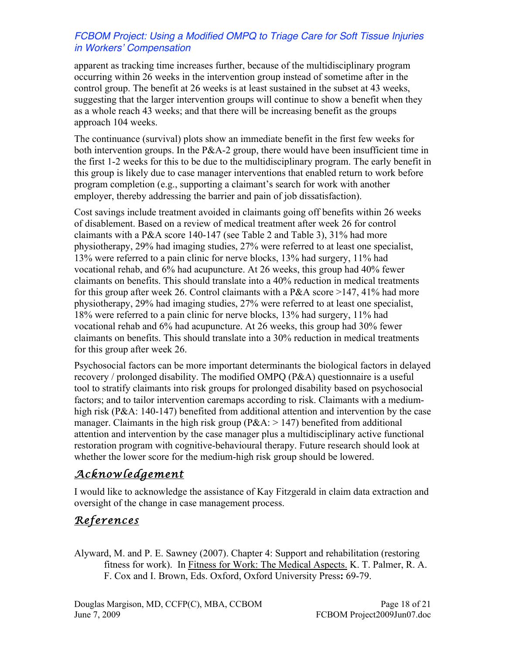apparent as tracking time increases further, because of the multidisciplinary program occurring within 26 weeks in the intervention group instead of sometime after in the control group. The benefit at 26 weeks is at least sustained in the subset at 43 weeks, suggesting that the larger intervention groups will continue to show a benefit when they as a whole reach 43 weeks; and that there will be increasing benefit as the groups approach 104 weeks.

The continuance (survival) plots show an immediate benefit in the first few weeks for both intervention groups. In the P&A-2 group, there would have been insufficient time in the first 1-2 weeks for this to be due to the multidisciplinary program. The early benefit in this group is likely due to case manager interventions that enabled return to work before program completion (e.g., supporting a claimant's search for work with another employer, thereby addressing the barrier and pain of job dissatisfaction).

Cost savings include treatment avoided in claimants going off benefits within 26 weeks of disablement. Based on a review of medical treatment after week 26 for control claimants with a P&A score 140-147 (see Table 2 and Table 3), 31% had more physiotherapy, 29% had imaging studies, 27% were referred to at least one specialist, 13% were referred to a pain clinic for nerve blocks, 13% had surgery, 11% had vocational rehab, and 6% had acupuncture. At 26 weeks, this group had 40% fewer claimants on benefits. This should translate into a 40% reduction in medical treatments for this group after week 26. Control claimants with a P&A score >147, 41% had more physiotherapy, 29% had imaging studies, 27% were referred to at least one specialist, 18% were referred to a pain clinic for nerve blocks, 13% had surgery, 11% had vocational rehab and 6% had acupuncture. At 26 weeks, this group had 30% fewer claimants on benefits. This should translate into a 30% reduction in medical treatments for this group after week 26.

Psychosocial factors can be more important determinants the biological factors in delayed recovery / prolonged disability. The modified OMPQ (P&A) questionnaire is a useful tool to stratify claimants into risk groups for prolonged disability based on psychosocial factors; and to tailor intervention caremaps according to risk. Claimants with a mediumhigh risk (P&A: 140-147) benefited from additional attention and intervention by the case manager. Claimants in the high risk group ( $P&A:$  > 147) benefited from additional attention and intervention by the case manager plus a multidisciplinary active functional restoration program with cognitive-behavioural therapy. Future research should look at whether the lower score for the medium-high risk group should be lowered.

## *Acknowledgement*

I would like to acknowledge the assistance of Kay Fitzgerald in claim data extraction and oversight of the change in case management process.

# *References*

Alyward, M. and P. E. Sawney (2007). Chapter 4: Support and rehabilitation (restoring fitness for work). In Fitness for Work: The Medical Aspects. K. T. Palmer, R. A. F. Cox and I. Brown, Eds. Oxford, Oxford University Press**:** 69-79.

Douglas Margison, MD, CCFP(C), MBA, CCBOM <br>June 7, 2009<br>FCBOM Project2009Jun07.doc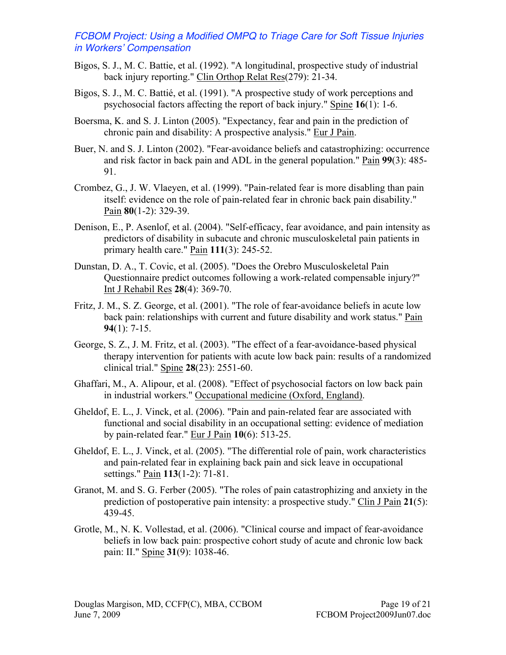- Bigos, S. J., M. C. Battie, et al. (1992). "A longitudinal, prospective study of industrial back injury reporting." Clin Orthop Relat Res(279): 21-34.
- Bigos, S. J., M. C. Battié, et al. (1991). "A prospective study of work perceptions and psychosocial factors affecting the report of back injury." Spine **16**(1): 1-6.
- Boersma, K. and S. J. Linton (2005). "Expectancy, fear and pain in the prediction of chronic pain and disability: A prospective analysis." Eur J Pain.
- Buer, N. and S. J. Linton (2002). "Fear-avoidance beliefs and catastrophizing: occurrence and risk factor in back pain and ADL in the general population." Pain **99**(3): 485- 91.
- Crombez, G., J. W. Vlaeyen, et al. (1999). "Pain-related fear is more disabling than pain itself: evidence on the role of pain-related fear in chronic back pain disability." Pain **80**(1-2): 329-39.
- Denison, E., P. Asenlof, et al. (2004). "Self-efficacy, fear avoidance, and pain intensity as predictors of disability in subacute and chronic musculoskeletal pain patients in primary health care." Pain **111**(3): 245-52.
- Dunstan, D. A., T. Covic, et al. (2005). "Does the Orebro Musculoskeletal Pain Questionnaire predict outcomes following a work-related compensable injury?" Int J Rehabil Res **28**(4): 369-70.
- Fritz, J. M., S. Z. George, et al. (2001). "The role of fear-avoidance beliefs in acute low back pain: relationships with current and future disability and work status." Pain **94**(1): 7-15.
- George, S. Z., J. M. Fritz, et al. (2003). "The effect of a fear-avoidance-based physical therapy intervention for patients with acute low back pain: results of a randomized clinical trial." Spine **28**(23): 2551-60.
- Ghaffari, M., A. Alipour, et al. (2008). "Effect of psychosocial factors on low back pain in industrial workers." Occupational medicine (Oxford, England).
- Gheldof, E. L., J. Vinck, et al. (2006). "Pain and pain-related fear are associated with functional and social disability in an occupational setting: evidence of mediation by pain-related fear." Eur J Pain **10**(6): 513-25.
- Gheldof, E. L., J. Vinck, et al. (2005). "The differential role of pain, work characteristics and pain-related fear in explaining back pain and sick leave in occupational settings." Pain **113**(1-2): 71-81.
- Granot, M. and S. G. Ferber (2005). "The roles of pain catastrophizing and anxiety in the prediction of postoperative pain intensity: a prospective study." Clin J Pain **21**(5): 439-45.
- Grotle, M., N. K. Vollestad, et al. (2006). "Clinical course and impact of fear-avoidance beliefs in low back pain: prospective cohort study of acute and chronic low back pain: II." Spine **31**(9): 1038-46.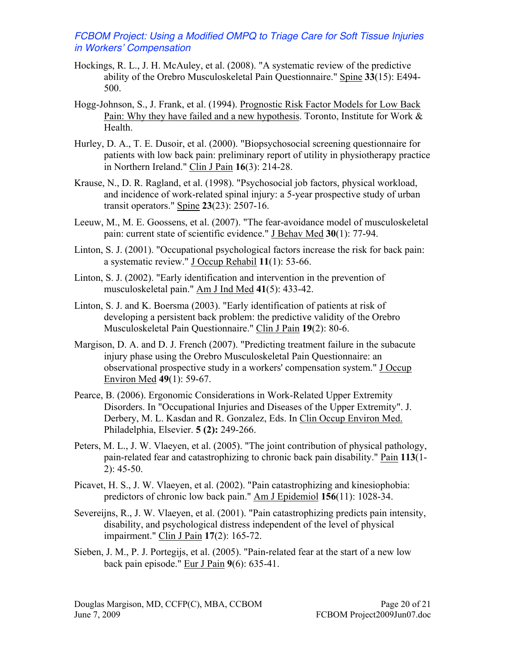- Hockings, R. L., J. H. McAuley, et al. (2008). "A systematic review of the predictive ability of the Orebro Musculoskeletal Pain Questionnaire." Spine **33**(15): E494- 500.
- Hogg-Johnson, S., J. Frank, et al. (1994). Prognostic Risk Factor Models for Low Back Pain: Why they have failed and a new hypothesis. Toronto, Institute for Work & Health.
- Hurley, D. A., T. E. Dusoir, et al. (2000). "Biopsychosocial screening questionnaire for patients with low back pain: preliminary report of utility in physiotherapy practice in Northern Ireland." Clin J Pain **16**(3): 214-28.
- Krause, N., D. R. Ragland, et al. (1998). "Psychosocial job factors, physical workload, and incidence of work-related spinal injury: a 5-year prospective study of urban transit operators." Spine **23**(23): 2507-16.
- Leeuw, M., M. E. Goossens, et al. (2007). "The fear-avoidance model of musculoskeletal pain: current state of scientific evidence." J Behav Med **30**(1): 77-94.
- Linton, S. J. (2001). "Occupational psychological factors increase the risk for back pain: a systematic review." J Occup Rehabil **11**(1): 53-66.
- Linton, S. J. (2002). "Early identification and intervention in the prevention of musculoskeletal pain." Am J Ind Med **41**(5): 433-42.
- Linton, S. J. and K. Boersma (2003). "Early identification of patients at risk of developing a persistent back problem: the predictive validity of the Orebro Musculoskeletal Pain Questionnaire." Clin J Pain **19**(2): 80-6.
- Margison, D. A. and D. J. French (2007). "Predicting treatment failure in the subacute injury phase using the Orebro Musculoskeletal Pain Questionnaire: an observational prospective study in a workers' compensation system." J Occup Environ Med **49**(1): 59-67.
- Pearce, B. (2006). Ergonomic Considerations in Work-Related Upper Extremity Disorders. In "Occupational Injuries and Diseases of the Upper Extremity". J. Derbery, M. L. Kasdan and R. Gonzalez, Eds. In Clin Occup Environ Med. Philadelphia, Elsevier. **5 (2):** 249-266.
- Peters, M. L., J. W. Vlaeyen, et al. (2005). "The joint contribution of physical pathology, pain-related fear and catastrophizing to chronic back pain disability." Pain **113**(1- 2): 45-50.
- Picavet, H. S., J. W. Vlaeyen, et al. (2002). "Pain catastrophizing and kinesiophobia: predictors of chronic low back pain." Am J Epidemiol **156**(11): 1028-34.
- Severeijns, R., J. W. Vlaeyen, et al. (2001). "Pain catastrophizing predicts pain intensity, disability, and psychological distress independent of the level of physical impairment." Clin J Pain **17**(2): 165-72.
- Sieben, J. M., P. J. Portegijs, et al. (2005). "Pain-related fear at the start of a new low back pain episode." Eur J Pain **9**(6): 635-41.